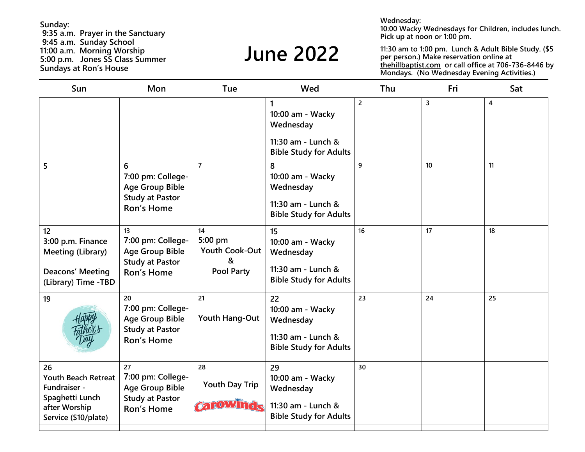**Wednesday:**

**10:00 Wacky Wednesdays for Children, includes lunch. Pick up at noon or 1:00 pm.**

**11:30 am to 1:00 pm. Lunch & Adult Bible Study. (\$5 per person.) Make reservation online at thehillbaptist.com or call office at 706-736-8446 by Mondays. (No Wednesday Evening Activities.)**

| Sun                                                                                                          | Mon                                                                                       | Tue                                                       | Wed                                                                                                  | Thu            | Fri | Sat            |
|--------------------------------------------------------------------------------------------------------------|-------------------------------------------------------------------------------------------|-----------------------------------------------------------|------------------------------------------------------------------------------------------------------|----------------|-----|----------------|
|                                                                                                              |                                                                                           |                                                           | $\mathbf{1}$<br>10:00 am - Wacky<br>Wednesday<br>11:30 am - Lunch &<br><b>Bible Study for Adults</b> | $\overline{2}$ | 3   | $\overline{4}$ |
| 5                                                                                                            | 6<br>7:00 pm: College-<br><b>Age Group Bible</b><br><b>Study at Pastor</b><br>Ron's Home  | $\overline{7}$                                            | 8<br>10:00 am - Wacky<br>Wednesday<br>11:30 am - Lunch &<br><b>Bible Study for Adults</b>            | 9              | 10  | 11             |
| 12<br>3:00 p.m. Finance<br>Meeting (Library)<br>Deacons' Meeting<br>(Library) Time - TBD                     | 13<br>7:00 pm: College-<br><b>Age Group Bible</b><br><b>Study at Pastor</b><br>Ron's Home | 14<br>5:00 pm<br>Youth Cook-Out<br>&<br><b>Pool Party</b> | 15<br>10:00 am - Wacky<br>Wednesday<br>11:30 am - Lunch &<br><b>Bible Study for Adults</b>           | 16             | 17  | 18             |
| 19                                                                                                           | 20<br>7:00 pm: College-<br><b>Age Group Bible</b><br><b>Study at Pastor</b><br>Ron's Home | 21<br>Youth Hang-Out                                      | 22<br>10:00 am - Wacky<br>Wednesday<br>11:30 am - Lunch &<br><b>Bible Study for Adults</b>           | 23             | 24  | 25             |
| 26<br><b>Youth Beach Retreat</b><br>Fundraiser -<br>Spaghetti Lunch<br>after Worship<br>Service (\$10/plate) | 27<br>7:00 pm: College-<br><b>Age Group Bible</b><br><b>Study at Pastor</b><br>Ron's Home | 28<br><b>Youth Day Trip</b><br><b>Canowinde</b>           | 29<br>10:00 am - Wacky<br>Wednesday<br>11:30 am - Lunch &<br><b>Bible Study for Adults</b>           | 30             |     |                |

**Sunday: 9:35 a.m. Prayer in the Sanctuary 9:45 a.m. Sunday School 11:00 a.m. Morning Worship 5:00 p.m. Jones SS Class Summer Sundays at Ron's House**

# **June 2022**